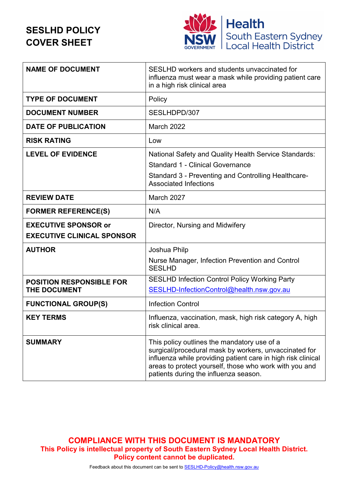# **SESLHD POLICY COVER SHEET**



| <b>NAME OF DOCUMENT</b>                                          | SESLHD workers and students unvaccinated for<br>influenza must wear a mask while providing patient care<br>in a high risk clinical area                                                                                                                                 |
|------------------------------------------------------------------|-------------------------------------------------------------------------------------------------------------------------------------------------------------------------------------------------------------------------------------------------------------------------|
| <b>TYPE OF DOCUMENT</b>                                          | Policy                                                                                                                                                                                                                                                                  |
| <b>DOCUMENT NUMBER</b>                                           | SESLHDPD/307                                                                                                                                                                                                                                                            |
| <b>DATE OF PUBLICATION</b>                                       | <b>March 2022</b>                                                                                                                                                                                                                                                       |
| <b>RISK RATING</b>                                               | Low                                                                                                                                                                                                                                                                     |
| <b>LEVEL OF EVIDENCE</b>                                         | National Safety and Quality Health Service Standards:<br><b>Standard 1 - Clinical Governance</b><br>Standard 3 - Preventing and Controlling Healthcare-<br><b>Associated Infections</b>                                                                                 |
| <b>REVIEW DATE</b>                                               | March 2027                                                                                                                                                                                                                                                              |
| <b>FORMER REFERENCE(S)</b>                                       | N/A                                                                                                                                                                                                                                                                     |
| <b>EXECUTIVE SPONSOR or</b><br><b>EXECUTIVE CLINICAL SPONSOR</b> | Director, Nursing and Midwifery                                                                                                                                                                                                                                         |
| <b>AUTHOR</b>                                                    | Joshua Philp<br>Nurse Manager, Infection Prevention and Control<br><b>SESLHD</b>                                                                                                                                                                                        |
| <b>POSITION RESPONSIBLE FOR</b><br><b>THE DOCUMENT</b>           | <b>SESLHD Infection Control Policy Working Party</b><br>SESLHD-InfectionControl@health.nsw.gov.au                                                                                                                                                                       |
| <b>FUNCTIONAL GROUP(S)</b>                                       | <b>Infection Control</b>                                                                                                                                                                                                                                                |
| <b>KEY TERMS</b>                                                 | Influenza, vaccination, mask, high risk category A, high<br>risk clinical area.                                                                                                                                                                                         |
| <b>SUMMARY</b>                                                   | This policy outlines the mandatory use of a<br>surgical/procedural mask by workers, unvaccinated for<br>influenza while providing patient care in high risk clinical<br>areas to protect yourself, those who work with you and<br>patients during the influenza season. |

**COMPLIANCE WITH THIS DOCUMENT IS MANDATORY This Policy is intellectual property of South Eastern Sydney Local Health District. Policy content cannot be duplicated.**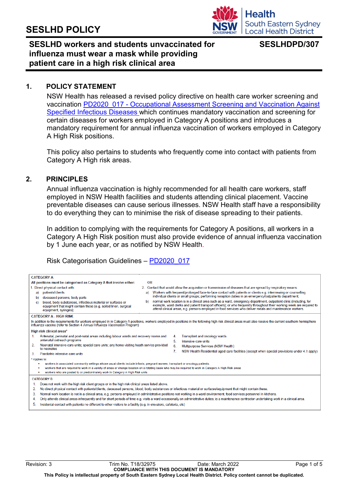

# **SESLHD workers and students unvaccinated for influenza must wear a mask while providing patient care in a high risk clinical area**

#### **1. POLICY STATEMENT**

NSW Health has released a revised policy directive on health care worker screening and vaccination PD2020\_017 - [Occupational Assessment Screening and Vaccination Against](https://www1.health.nsw.gov.au/pds/Pages/doc.aspx?dn=PD2020_017)  [Specified Infectious Diseases](https://www1.health.nsw.gov.au/pds/Pages/doc.aspx?dn=PD2020_017) which continues mandatory vaccination and screening for certain diseases for workers employed in Category A positions and introduces a mandatory requirement for annual influenza vaccination of workers employed in Category A High Risk positions.

This policy also pertains to students who frequently come into contact with patients from Category A High risk areas.

#### **2. PRINCIPLES**

Annual influenza vaccination is highly recommended for all health care workers, staff employed in NSW Health facilities and students attending clinical placement. Vaccine preventable diseases can cause serious illnesses. NSW Health staff have a responsibility to do everything they can to minimise the risk of disease spreading to their patients.

In addition to complying with the requirements for Category A positions, all workers in a Category A High Risk position must also provide evidence of annual influenza vaccination by 1 June each year, or as notified by NSW Health.

Risk Categorisation Guidelines – [PD2020\\_017](https://www1.health.nsw.gov.au/pds/Pages/doc.aspx?dn=PD2020_017)

| <b>CATEGORY A</b>                                                                                                                                                                                                                                                                         |                                                                                                                                                                                                                                                                                                                                                                |  |  |  |
|-------------------------------------------------------------------------------------------------------------------------------------------------------------------------------------------------------------------------------------------------------------------------------------------|----------------------------------------------------------------------------------------------------------------------------------------------------------------------------------------------------------------------------------------------------------------------------------------------------------------------------------------------------------------|--|--|--|
| All positions must be categorised as Category A that involve either:                                                                                                                                                                                                                      | <b>OR</b>                                                                                                                                                                                                                                                                                                                                                      |  |  |  |
| 1. Direct physical contact with:                                                                                                                                                                                                                                                          | 2. Contact that would allow the acquisition or transmission of diseases that are spread by respiratory means:                                                                                                                                                                                                                                                  |  |  |  |
| patients/clients<br>a)                                                                                                                                                                                                                                                                    | Workers with frequent/prolonged face-to-face contact with patients or clients e.g. interviewing or counselling<br>a)                                                                                                                                                                                                                                           |  |  |  |
| deceased persons, body parts<br>b)                                                                                                                                                                                                                                                        | individual clients or small groups; performing reception duties in an emergency/outpatients department;                                                                                                                                                                                                                                                        |  |  |  |
| blood, body substances, infectious material or surfaces or<br>c)<br>equipment that might contain these (e.g. soiled linen, surgical<br>equipment, syringes);                                                                                                                              | normal work location is in a clinical area such as a ward, emergency department, outpatient clinic (including, for<br>b).<br>example, ward clerks and patient transport officers); or who frequently throughout their working week are required to<br>attend clinical areas, e.g. persons employed in food services who deliver meals and maintenance workers. |  |  |  |
| <b>CATEGORY A - HIGH RISK</b>                                                                                                                                                                                                                                                             |                                                                                                                                                                                                                                                                                                                                                                |  |  |  |
| In addition to the requirements for workers employed in in Category A positions, workers employed in positions in the following high risk clinical areas must also receive the current southern hemisphere<br>influenza vaccine (refer to Section 4 Annual Influenza Vaccination Program) |                                                                                                                                                                                                                                                                                                                                                                |  |  |  |
| High risk clinical areas*                                                                                                                                                                                                                                                                 |                                                                                                                                                                                                                                                                                                                                                                |  |  |  |
| Antenatal, perinatal and post-natal areas including labour wards and recovery rooms and<br>1.                                                                                                                                                                                             | Transplant and oncology wards<br>4.                                                                                                                                                                                                                                                                                                                            |  |  |  |
| antenatal outreach programs                                                                                                                                                                                                                                                               | 5.<br>Intensive care units                                                                                                                                                                                                                                                                                                                                     |  |  |  |
| Neonatal intensive care units; special care units; any home visiting heath service provided<br>2.<br>to neonates                                                                                                                                                                          | 6<br>Multipurpose Services (NSW Health)                                                                                                                                                                                                                                                                                                                        |  |  |  |
| 3.<br>Paediatric intensive care units                                                                                                                                                                                                                                                     | 7.<br>NSW Health Residential aged care facilities (except when special provisions under 4.1 apply)                                                                                                                                                                                                                                                             |  |  |  |
|                                                                                                                                                                                                                                                                                           |                                                                                                                                                                                                                                                                                                                                                                |  |  |  |
| * Applies to:<br>workers in associated community settings whose usual clients include infants, pregnant women, transplant or oncology patients.                                                                                                                                           |                                                                                                                                                                                                                                                                                                                                                                |  |  |  |
|                                                                                                                                                                                                                                                                                           | workers that are required to work in a variety of areas or change location on a rotating basis who may be required to work in Category A High Risk areas                                                                                                                                                                                                       |  |  |  |
| workers who are posted to or predominately work in Category A High Risk units<br>٠                                                                                                                                                                                                        |                                                                                                                                                                                                                                                                                                                                                                |  |  |  |
| <b>CATEGORY B</b>                                                                                                                                                                                                                                                                         |                                                                                                                                                                                                                                                                                                                                                                |  |  |  |
| Does not work with the high risk client groups or in the high risk clinical areas listed above.<br>1.                                                                                                                                                                                     |                                                                                                                                                                                                                                                                                                                                                                |  |  |  |
| No direct physical contact with patients/clients, deceased persons, blood, body substances or infectious material or surfaces/equipment that might contain these.<br>2.                                                                                                                   |                                                                                                                                                                                                                                                                                                                                                                |  |  |  |
| Normal work location is not in a clinical area, e.g. persons employed in administrative positions not working in a ward environment, food services personnel in kitchens.<br>3.                                                                                                           |                                                                                                                                                                                                                                                                                                                                                                |  |  |  |
| Only attends clinical areas infrequently and for short periods of time e.g. visits a ward occasionally on administrative duties; is a maintenance contractor undertaking work in a clinical area.<br>4.                                                                                   |                                                                                                                                                                                                                                                                                                                                                                |  |  |  |
| 5.<br>Incidental contact with patients no different to other visitors to a facility (e.g. in elevators, cafeteria, etc)                                                                                                                                                                   |                                                                                                                                                                                                                                                                                                                                                                |  |  |  |
|                                                                                                                                                                                                                                                                                           |                                                                                                                                                                                                                                                                                                                                                                |  |  |  |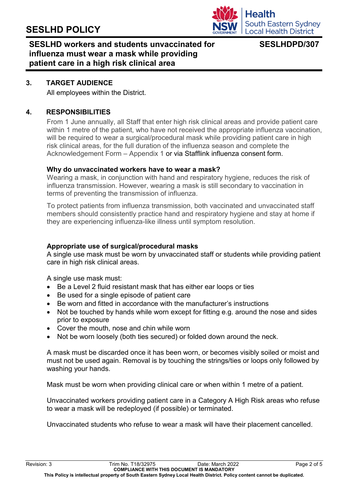

# **SESLHD workers and students unvaccinated for influenza must wear a mask while providing patient care in a high risk clinical area**

### **3. TARGET AUDIENCE**

All employees within the District.

### **4. RESPONSIBILITIES**

From 1 June annually, all Staff that enter high risk clinical areas and provide patient care within 1 metre of the patient, who have not received the appropriate influenza vaccination, will be required to wear a surgical/procedural mask while providing patient care in high risk clinical areas, for the full duration of the influenza season and complete the Acknowledgement Form – Appendix 1 or via Stafflink influenza consent form.

#### **Why do unvaccinated workers have to wear a mask?**

Wearing a mask, in conjunction with hand and respiratory hygiene, reduces the risk of influenza transmission. However, wearing a mask is still secondary to vaccination in terms of preventing the transmission of influenza.

To protect patients from influenza transmission, both vaccinated and unvaccinated staff members should consistently practice hand and respiratory hygiene and stay at home if they are experiencing influenza-like illness until symptom resolution.

### **Appropriate use of surgical/procedural masks**

A single use mask must be worn by unvaccinated staff or students while providing patient care in high risk clinical areas.

A single use mask must:

- Be a Level 2 fluid resistant mask that has either ear loops or ties
- Be used for a single episode of patient care
- Be worn and fitted in accordance with the manufacturer's instructions
- Not be touched by hands while worn except for fitting e.g. around the nose and sides prior to exposure
- Cover the mouth, nose and chin while worn
- Not be worn loosely (both ties secured) or folded down around the neck.

A mask must be discarded once it has been worn, or becomes visibly soiled or moist and must not be used again. Removal is by touching the strings/ties or loops only followed by washing your hands.

Mask must be worn when providing clinical care or when within 1 metre of a patient.

Unvaccinated workers providing patient care in a Category A High Risk areas who refuse to wear a mask will be redeployed (if possible) or terminated.

Unvaccinated students who refuse to wear a mask will have their placement cancelled.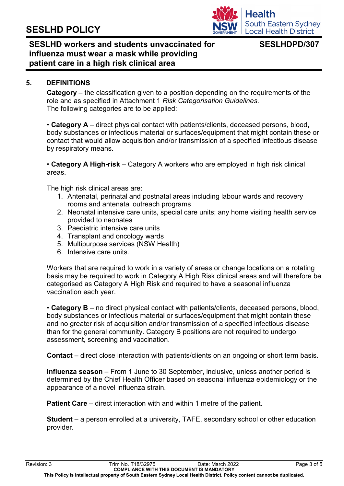

# **SESLHD workers and students unvaccinated for influenza must wear a mask while providing patient care in a high risk clinical area**

### **5. DEFINITIONS**

**Category** – the classification given to a position depending on the requirements of the role and as specified in Attachment 1 *Risk Categorisation Guidelines*. The following categories are to be applied:

• **Category A** – direct physical contact with patients/clients, deceased persons, blood, body substances or infectious material or surfaces/equipment that might contain these or contact that would allow acquisition and/or transmission of a specified infectious disease by respiratory means.

• **Category A High-risk** – Category A workers who are employed in high risk clinical areas.

The high risk clinical areas are:

- 1. Antenatal, perinatal and postnatal areas including labour wards and recovery rooms and antenatal outreach programs
- 2. Neonatal intensive care units, special care units; any home visiting health service provided to neonates
- 3. Paediatric intensive care units
- 4. Transplant and oncology wards
- 5. Multipurpose services (NSW Health)
- 6. Intensive care units.

Workers that are required to work in a variety of areas or change locations on a rotating basis may be required to work in Category A High Risk clinical areas and will therefore be categorised as Category A High Risk and required to have a seasonal influenza vaccination each year.

• **Category B** – no direct physical contact with patients/clients, deceased persons, blood, body substances or infectious material or surfaces/equipment that might contain these and no greater risk of acquisition and/or transmission of a specified infectious disease than for the general community. Category B positions are not required to undergo assessment, screening and vaccination.

**Contact** – direct close interaction with patients/clients on an ongoing or short term basis.

**Influenza season** – From 1 June to 30 September, inclusive, unless another period is determined by the Chief Health Officer based on seasonal influenza epidemiology or the appearance of a novel influenza strain.

**Patient Care** – direct interaction with and within 1 metre of the patient.

**Student** – a person enrolled at a university, TAFE, secondary school or other education provider.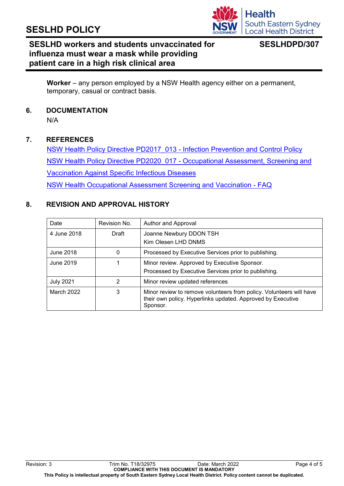

# **SESLHD workers and students unvaccinated for influenza must wear a mask while providing patient care in a high risk clinical area**

**Worker** – any person employed by a NSW Health agency either on a permanent, temporary, casual or contract basis.

**6. DOCUMENTATION**

N/A

### **7. REFERENCES**

NSW Health Policy Directive PD2017\_013 - [Infection Prevention and Control Policy](https://www1.health.nsw.gov.au/pds/Pages/doc.aspx?dn=PD2017_013)  NSW Health Policy Directive PD2020\_017 - [Occupational Assessment, Screening and](https://www1.health.nsw.gov.au/pds/Pages/doc.aspx?dn=PD2020_017)  [Vaccination Against Specific Infectious Diseases](https://www1.health.nsw.gov.au/pds/Pages/doc.aspx?dn=PD2020_017)  [NSW Health Occupational Assessment Screening and Vaccination -](https://www.health.nsw.gov.au/immunisation/Pages/oasv-FAQ.aspx) FAQ

### **8. REVISION AND APPROVAL HISTORY**

| Date             | Revision No. | Author and Approval                                                                                                                            |
|------------------|--------------|------------------------------------------------------------------------------------------------------------------------------------------------|
| 4 June 2018      | Draft        | Joanne Newbury DDON TSH<br>Kim Olesen LHD DNMS                                                                                                 |
| June 2018        | 0            | Processed by Executive Services prior to publishing.                                                                                           |
| June 2019        |              | Minor review. Approved by Executive Sponsor.<br>Processed by Executive Services prior to publishing.                                           |
| <b>July 2021</b> | 2            | Minor review updated references                                                                                                                |
| March 2022       | 3            | Minor review to remove volunteers from policy. Volunteers will have<br>their own policy. Hyperlinks updated. Approved by Executive<br>Sponsor. |